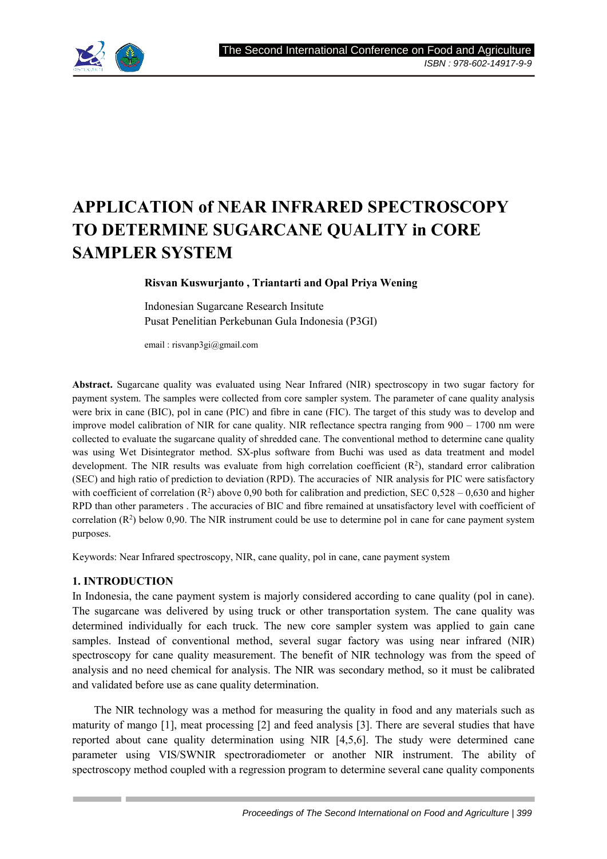

# **APPLICATION of NEAR INFRARED SPECTROSCOPY TO DETERMINE SUGARCANE QUALITY in CORE SAMPLER SYSTEM**

**Risvan Kuswurjanto , Triantarti and Opal Priya Wening**

Indonesian Sugarcane Research Insitute Pusat Penelitian Perkebunan Gula Indonesia (P3GI)

email : risvanp3gi@gmail.com

**Abstract.** Sugarcane quality was evaluated using Near Infrared (NIR) spectroscopy in two sugar factory for payment system. The samples were collected from core sampler system. The parameter of cane quality analysis were brix in cane (BIC), pol in cane (PIC) and fibre in cane (FIC). The target of this study was to develop and improve model calibration of NIR for cane quality. NIR reflectance spectra ranging from 900 – 1700 nm were collected to evaluate the sugarcane quality of shredded cane. The conventional method to determine cane quality was using Wet Disintegrator method. SX-plus software from Buchi was used as data treatment and model development. The NIR results was evaluate from high correlation coefficient  $(R^2)$ , standard error calibration (SEC) and high ratio of prediction to deviation (RPD). The accuracies of NIR analysis for PIC were satisfactory with coefficient of correlation  $(R^2)$  above 0,90 both for calibration and prediction, SEC 0,528 – 0,630 and higher RPD than other parameters . The accuracies of BIC and fibre remained at unsatisfactory level with coefficient of correlation  $(R^2)$  below 0,90. The NIR instrument could be use to determine pol in cane for cane payment system purposes.

Keywords: Near Infrared spectroscopy, NIR, cane quality, pol in cane, cane payment system

# **1. INTRODUCTION**

In Indonesia, the cane payment system is majorly considered according to cane quality (pol in cane). The sugarcane was delivered by using truck or other transportation system. The cane quality was determined individually for each truck. The new core sampler system was applied to gain cane samples. Instead of conventional method, several sugar factory was using near infrared (NIR) spectroscopy for cane quality measurement. The benefit of NIR technology was from the speed of analysis and no need chemical for analysis. The NIR was secondary method, so it must be calibrated and validated before use as cane quality determination.

The NIR technology was a method for measuring the quality in food and any materials such as maturity of mango [1], meat processing [2] and feed analysis [3]. There are several studies that have reported about cane quality determination using NIR [4,5,6]. The study were determined cane parameter using VIS/SWNIR spectroradiometer or another NIR instrument. The ability of spectroscopy method coupled with a regression program to determine several cane quality components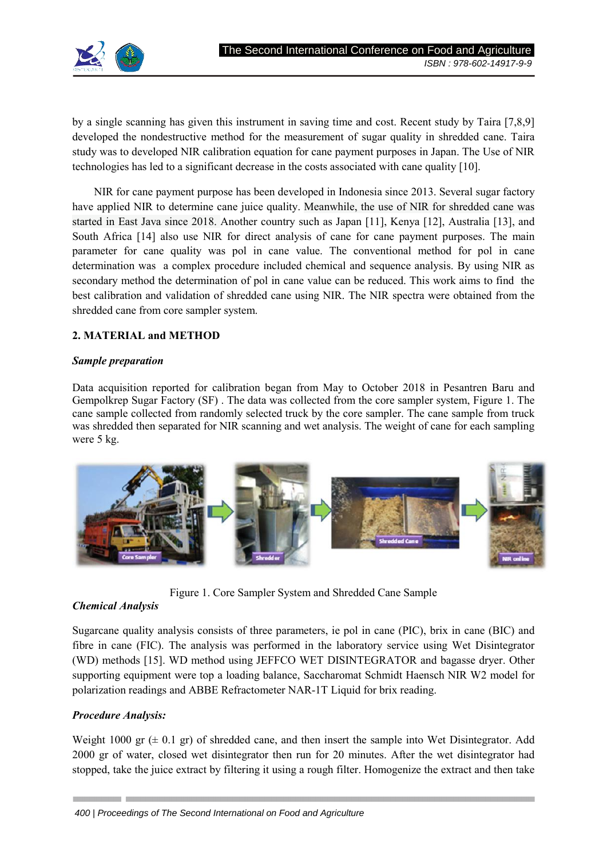

by a single scanning has given this instrument in saving time and cost. Recent study by Taira [7,8,9] developed the nondestructive method for the measurement of sugar quality in shredded cane. Taira study was to developed NIR calibration equation for cane payment purposes in Japan. The Use of NIR technologies has led to a significant decrease in the costs associated with cane quality [10].

NIR for cane payment purpose has been developed in Indonesia since 2013. Several sugar factory have applied NIR to determine cane juice quality. Meanwhile, the use of NIR for shredded cane was started in East Java since 2018. Another country such as Japan [11], Kenya [12], Australia [13], and South Africa [14] also use NIR for direct analysis of cane for cane payment purposes. The main parameter for cane quality was pol in cane value. The conventional method for pol in cane determination was a complex procedure included chemical and sequence analysis. By using NIR as secondary method the determination of pol in cane value can be reduced. This work aims to find the best calibration and validation of shredded cane using NIR. The NIR spectra were obtained from the shredded cane from core sampler system.

# **2. MATERIAL and METHOD**

## *Sample preparation*

Data acquisition reported for calibration began from May to October 2018 in Pesantren Baru and Gempolkrep Sugar Factory (SF) . The data was collected from the core sampler system, Figure 1. The cane sample collected from randomly selected truck by the core sampler. The cane sample from truck was shredded then separated for NIR scanning and wet analysis. The weight of cane for each sampling were 5 kg.



Figure 1. Core Sampler System and Shredded Cane Sample

# *Chemical Analysis*

Sugarcane quality analysis consists of three parameters, ie pol in cane (PIC), brix in cane (BIC) and fibre in cane (FIC). The analysis was performed in the laboratory service using Wet Disintegrator (WD) methods [15]. WD method using JEFFCO WET DISINTEGRATOR and bagasse dryer. Other supporting equipment were top a loading balance, Saccharomat Schmidt Haensch NIR W2 model for polarization readings and ABBE Refractometer NAR-1T Liquid for brix reading.

# *Procedure Analysis:*

Weight 1000 gr  $(\pm 0.1 \text{ gr})$  of shredded cane, and then insert the sample into Wet Disintegrator. Add 2000 gr of water, closed wet disintegrator then run for 20 minutes. After the wet disintegrator had stopped, take the juice extract by filtering it using a rough filter. Homogenize the extract and then take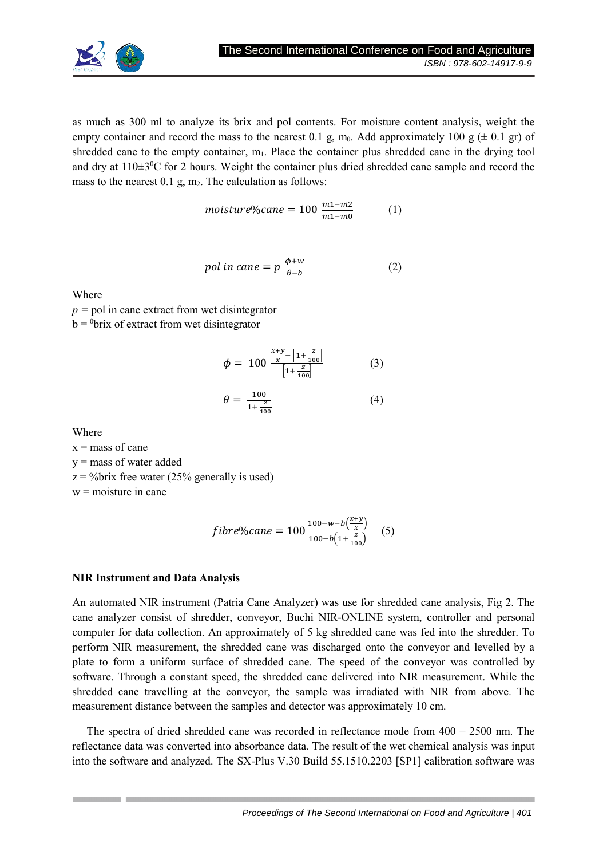

as much as 300 ml to analyze its brix and pol contents. For moisture content analysis, weight the empty container and record the mass to the nearest 0.1 g, m<sub>0</sub>. Add approximately 100 g ( $\pm$  0.1 gr) of shredded cane to the empty container, m<sub>1</sub>. Place the container plus shredded cane in the drying tool and dry at  $110\pm3\degree$ C for 2 hours. Weight the container plus dried shredded cane sample and record the mass to the nearest  $0.1$  g,  $m<sub>2</sub>$ . The calculation as follows:

$$
moisture\%cane = 100 \frac{m_1 - m_2}{m_1 - m_0} \tag{1}
$$

$$
pol in cane = p \frac{\phi + w}{\theta - b} \tag{2}
$$

Where

*p =* pol in cane extract from wet disintegrator  $b = 0$ brix of extract from wet disintegrator

$$
\phi = 100 \frac{\frac{x+y}{x} - \left[1 + \frac{z}{100}\right]}{\left[1 + \frac{z}{100}\right]}
$$
 (3)

$$
\theta = \frac{100}{1 + \frac{z}{100}} \tag{4}
$$

Where

 $x =$  mass of cane

y = mass of water added

 $z = \frac{9}{b}$  free water (25% generally is used)

 $w =$ moisture in cane

$$
fiber\%cane = 100 \frac{100 - w - b\left(\frac{x+y}{x}\right)}{100 - b\left(1 + \frac{z}{100}\right)} \quad (5)
$$

# **NIR Instrument and Data Analysis**

An automated NIR instrument (Patria Cane Analyzer) was use for shredded cane analysis, Fig 2. The cane analyzer consist of shredder, conveyor, Buchi NIR-ONLINE system, controller and personal computer for data collection. An approximately of 5 kg shredded cane was fed into the shredder. To perform NIR measurement, the shredded cane was discharged onto the conveyor and levelled by a plate to form a uniform surface of shredded cane. The speed of the conveyor was controlled by software. Through a constant speed, the shredded cane delivered into NIR measurement. While the shredded cane travelling at the conveyor, the sample was irradiated with NIR from above. The measurement distance between the samples and detector was approximately 10 cm.

The spectra of dried shredded cane was recorded in reflectance mode from  $400 - 2500$  nm. The reflectance data was converted into absorbance data. The result of the wet chemical analysis was input into the software and analyzed. The SX-Plus V.30 Build 55.1510.2203 [SP1] calibration software was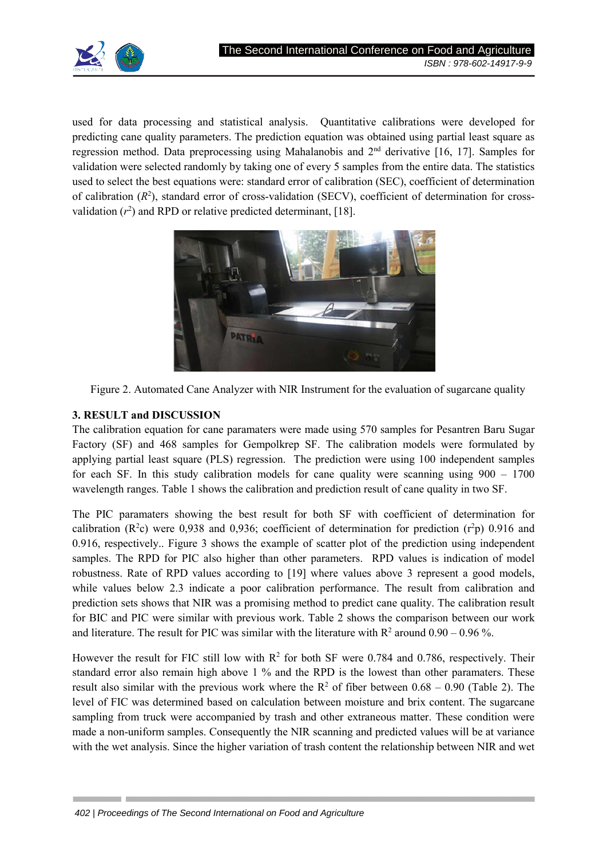

used for data processing and statistical analysis. Quantitative calibrations were developed for predicting cane quality parameters. The prediction equation was obtained using partial least square as regression method. Data preprocessing using Mahalanobis and 2nd derivative [16, 17]. Samples for validation were selected randomly by taking one of every 5 samples from the entire data. The statistics used to select the best equations were: standard error of calibration (SEC), coefficient of determination of calibration  $(R^2)$ , standard error of cross-validation (SECV), coefficient of determination for crossvalidation  $(r^2)$  and RPD or relative predicted determinant, [18].





# **3. RESULT and DISCUSSION**

The calibration equation for cane paramaters were made using 570 samples for Pesantren Baru Sugar Factory (SF) and 468 samples for Gempolkrep SF. The calibration models were formulated by applying partial least square (PLS) regression. The prediction were using 100 independent samples for each SF. In this study calibration models for cane quality were scanning using 900 – 1700 wavelength ranges. Table 1 shows the calibration and prediction result of cane quality in two SF.

The PIC paramaters showing the best result for both SF with coefficient of determination for calibration ( $\mathbb{R}^2$ c) were 0,938 and 0,936; coefficient of determination for prediction ( $r^2$ p) 0.916 and 0.916, respectively.. Figure 3 shows the example of scatter plot of the prediction using independent samples. The RPD for PIC also higher than other parameters. RPD values is indication of model robustness. Rate of RPD values according to [19] where values above 3 represent a good models, while values below 2.3 indicate a poor calibration performance. The result from calibration and prediction sets shows that NIR was a promising method to predict cane quality. The calibration result for BIC and PIC were similar with previous work. Table 2 shows the comparison between our work and literature. The result for PIC was similar with the literature with  $R^2$  around  $0.90 - 0.96$  %.

However the result for FIC still low with  $R^2$  for both SF were 0.784 and 0.786, respectively. Their standard error also remain high above 1 % and the RPD is the lowest than other paramaters. These result also similar with the previous work where the  $\mathbb{R}^2$  of fiber between 0.68 – 0.90 (Table 2). The level of FIC was determined based on calculation between moisture and brix content. The sugarcane sampling from truck were accompanied by trash and other extraneous matter. These condition were made a non-uniform samples. Consequently the NIR scanning and predicted values will be at variance with the wet analysis. Since the higher variation of trash content the relationship between NIR and wet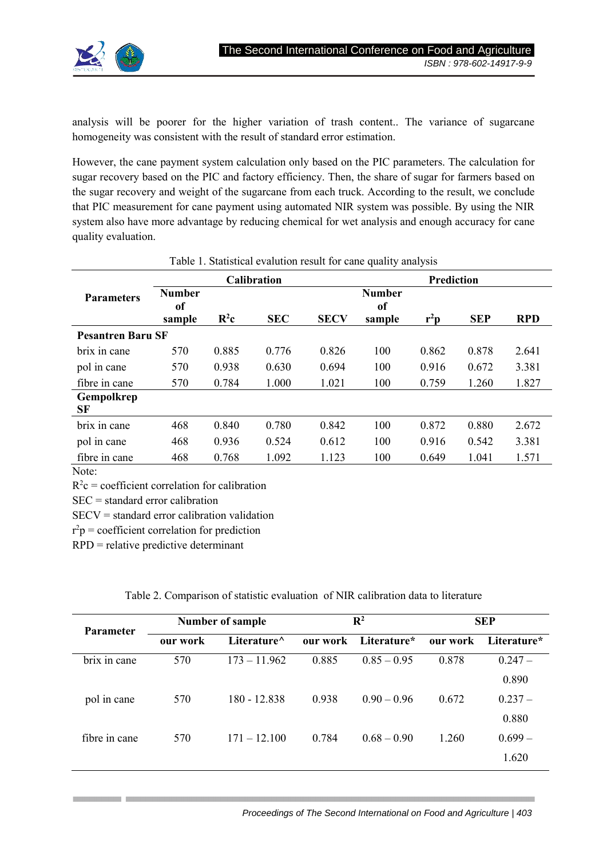

analysis will be poorer for the higher variation of trash content.. The variance of sugarcane homogeneity was consistent with the result of standard error estimation.

However, the cane payment system calculation only based on the PIC parameters. The calculation for sugar recovery based on the PIC and factory efficiency. Then, the share of sugar for farmers based on the sugar recovery and weight of the sugarcane from each truck. According to the result, we conclude that PIC measurement for cane payment using automated NIR system was possible. By using the NIR system also have more advantage by reducing chemical for wet analysis and enough accuracy for cane quality evaluation.

| <b>Parameters</b>        | <b>Calibration</b> |                          |            |             | Prediction    |        |            |            |
|--------------------------|--------------------|--------------------------|------------|-------------|---------------|--------|------------|------------|
|                          | <b>Number</b>      |                          |            |             | <b>Number</b> |        |            |            |
|                          | of                 |                          |            |             | 0f            |        |            |            |
|                          | sample             | $\mathbf{R}^2\mathbf{c}$ | <b>SEC</b> | <b>SECV</b> | sample        | $r^2p$ | <b>SEP</b> | <b>RPD</b> |
| <b>Pesantren Baru SF</b> |                    |                          |            |             |               |        |            |            |
| brix in cane             | 570                | 0.885                    | 0.776      | 0.826       | 100           | 0.862  | 0.878      | 2.641      |
| pol in cane              | 570                | 0.938                    | 0.630      | 0.694       | 100           | 0.916  | 0.672      | 3.381      |
| fibre in cane            | 570                | 0.784                    | 1.000      | 1.021       | 100           | 0.759  | 1.260      | 1.827      |
| Gempolkrep               |                    |                          |            |             |               |        |            |            |
| SF                       |                    |                          |            |             |               |        |            |            |
| brix in cane             | 468                | 0.840                    | 0.780      | 0.842       | 100           | 0.872  | 0.880      | 2.672      |
| pol in cane              | 468                | 0.936                    | 0.524      | 0.612       | 100           | 0.916  | 0.542      | 3.381      |
| fibre in cane            | 468                | 0.768                    | 1.092      | 1.123       | 100           | 0.649  | 1.041      | 1.571      |
| $N_{\text{max}}$         |                    |                          |            |             |               |        |            |            |

### Table 1. Statistical evalution result for cane quality analysis

Note:

 $R^2c$  = coefficient correlation for calibration

SEC = standard error calibration

SECV = standard error calibration validation

 $r^2p$  = coefficient correlation for prediction

RPD = relative predictive determinant

| Table 2. Comparison of statistic evaluation of NIR calibration data to literature |  |
|-----------------------------------------------------------------------------------|--|
|-----------------------------------------------------------------------------------|--|

| <b>Parameter</b> | <b>Number of sample</b> |                     | $\mathbf{R}^2$ |               | <b>SEP</b> |             |
|------------------|-------------------------|---------------------|----------------|---------------|------------|-------------|
|                  | our work                | Literature $\wedge$ | our work       | Literature*   | our work   | Literature* |
| brix in cane     | 570                     | $173 - 11.962$      | 0.885          | $0.85 - 0.95$ | 0.878      | $0.247 -$   |
|                  |                         |                     |                |               |            | 0.890       |
| pol in cane      | 570                     | 180 - 12.838        | 0.938          | $0.90 - 0.96$ | 0.672      | $0.237 -$   |
|                  |                         |                     |                |               |            | 0.880       |
| fibre in cane    | 570                     | $171 - 12.100$      | 0.784          | $0.68 - 0.90$ | 1.260      | $0.699-$    |
|                  |                         |                     |                |               |            | 1.620       |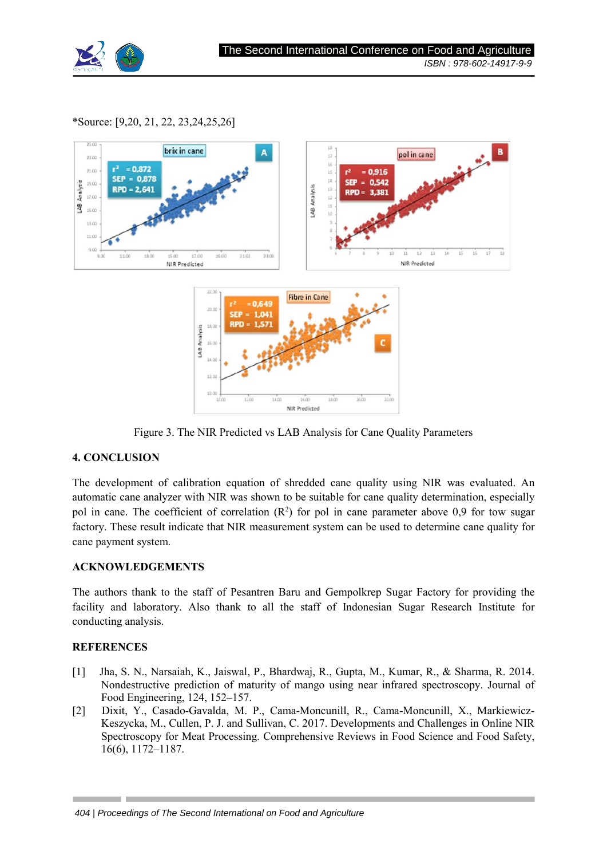

## \*Source: [9,20, 21, 22, 23,24,25,26]



Figure 3. The NIR Predicted vs LAB Analysis for Cane Quality Parameters

# **4. CONCLUSION**

The development of calibration equation of shredded cane quality using NIR was evaluated. An automatic cane analyzer with NIR was shown to be suitable for cane quality determination, especially pol in cane. The coefficient of correlation  $(R^2)$  for pol in cane parameter above 0,9 for tow sugar factory. These result indicate that NIR measurement system can be used to determine cane quality for cane payment system.

### **ACKNOWLEDGEMENTS**

The authors thank to the staff of Pesantren Baru and Gempolkrep Sugar Factory for providing the facility and laboratory. Also thank to all the staff of Indonesian Sugar Research Institute for conducting analysis.

# **REFERENCES**

- [1] Jha, S. N., Narsaiah, K., Jaiswal, P., Bhardwaj, R., Gupta, M., Kumar, R., & Sharma, R. 2014. Nondestructive prediction of maturity of mango using near infrared spectroscopy. Journal of Food Engineering, 124, 152–157.
- [2] Dixit, Y., Casado-Gavalda, M. P., Cama-Moncunill, R., Cama-Moncunill, X., Markiewicz-Keszycka, M., Cullen, P. J. and Sullivan, C. 2017. Developments and Challenges in Online NIR Spectroscopy for Meat Processing. Comprehensive Reviews in Food Science and Food Safety, 16(6), 1172–1187.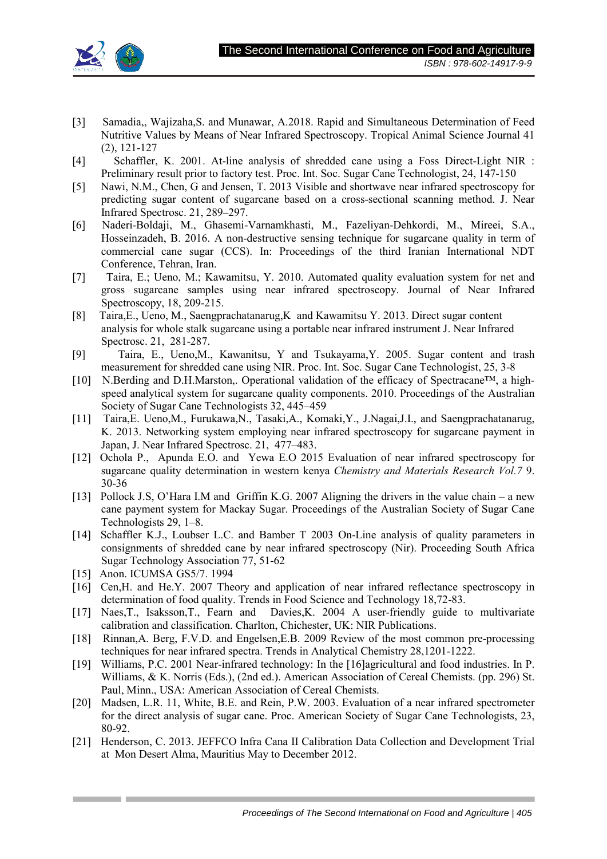

- [3] Samadia,, Wajizaha,S. and Munawar, A.2018. Rapid and Simultaneous Determination of Feed Nutritive Values by Means of Near Infrared Spectroscopy. Tropical Animal Science Journal 41 (2), 121-127
- [4] Schaffler, K. 2001. At-line analysis of shredded cane using a Foss Direct-Light NIR : Preliminary result prior to factory test. Proc. Int. Soc. Sugar Cane Technologist, 24, 147-150
- [5] Nawi, N.M., Chen, G and Jensen, T. 2013 Visible and shortwave near infrared spectroscopy for predicting sugar content of sugarcane based on a cross-sectional scanning method. J. Near Infrared Spectrosc. 21, 289–297.
- [6] Naderi-Boldaji, M., Ghasemi-Varnamkhasti, M., Fazeliyan-Dehkordi, M., Mireei, S.A., Hosseinzadeh, B. 2016. A non-destructive sensing technique for sugarcane quality in term of commercial cane sugar (CCS). In: Proceedings of the third Iranian International NDT Conference, Tehran, Iran.
- [7] Taira, E.; Ueno, M.; Kawamitsu, Y. 2010. Automated quality evaluation system for net and gross sugarcane samples using near infrared spectroscopy. Journal of Near Infrared Spectroscopy, 18, 209-215.
- [8] Taira,E., Ueno, M., Saengprachatanarug,K and Kawamitsu Y. 2013. Direct sugar content analysis for whole stalk sugarcane using a portable near infrared instrument J. Near Infrared Spectrosc. 21, 281-287.
- [9] Taira, E., Ueno,M., Kawanitsu, Y and Tsukayama,Y. 2005. Sugar content and trash measurement for shredded cane using NIR. Proc. Int. Soc. Sugar Cane Technologist, 25, 3-8
- [10] N.Berding and D.H.Marston,. Operational validation of the efficacy of Spectracane™, a highspeed analytical system for sugarcane quality components. 2010. Proceedings of the Australian Society of Sugar Cane Technologists 32, 445–459
- [11] Taira,E. Ueno,M., Furukawa,N., Tasaki,A., Komaki,Y., J.Nagai,J.I., and Saengprachatanarug, K. 2013. Networking system employing near infrared spectroscopy for sugarcane payment in Japan, J. Near Infrared Spectrosc. 21, 477–483.
- [12] Ochola P., Apunda E.O. and Yewa E.O 2015 Evaluation of near infrared spectroscopy for sugarcane quality determination in western kenya *Chemistry and Materials Research Vol.7* 9. 30-36
- [13] Pollock J.S, O'Hara I.M and Griffin K.G. 2007 Aligning the drivers in the value chain a new cane payment system for Mackay Sugar. Proceedings of the Australian Society of Sugar Cane Technologists 29, 1–8.
- [14] Schaffler K.J., Loubser L.C. and Bamber T 2003 On-Line analysis of quality parameters in consignments of shredded cane by near infrared spectroscopy (Nir). Proceeding South Africa Sugar Technology Association 77, 51-62
- [15] Anon. ICUMSA GS5/7. 1994
- [16] Cen, H. and He.Y. 2007 Theory and application of near infrared reflectance spectroscopy in determination of food quality. Trends in Food Science and Technology 18,72-83.
- [17] Naes,T., Isaksson,T., Fearn and Davies,K. 2004 A user-friendly guide to multivariate calibration and classification. Charlton, Chichester, UK: NIR Publications.
- [18] Rinnan,A. Berg, F.V.D. and Engelsen,E.B. 2009 Review of the most common pre-processing techniques for near infrared spectra. Trends in Analytical Chemistry 28,1201-1222.
- [19] Williams, P.C. 2001 Near-infrared technology: In the [16]agricultural and food industries. In P. Williams, & K. Norris (Eds.), (2nd ed.). American Association of Cereal Chemists. (pp. 296) St. Paul, Minn., USA: American Association of Cereal Chemists.
- [20] Madsen, L.R. 11, White, B.E. and Rein, P.W. 2003. Evaluation of a near infrared spectrometer for the direct analysis of sugar cane. Proc. American Society of Sugar Cane Technologists, 23, 80-92.
- [21] Henderson, C. 2013. JEFFCO Infra Cana II Calibration Data Collection and Development Trial at Mon Desert Alma, Mauritius May to December 2012.